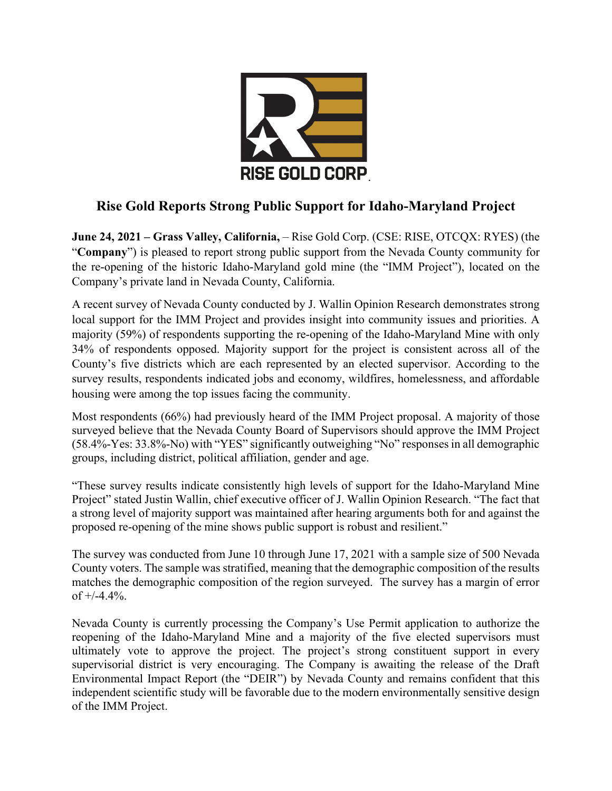

# **Rise Gold Reports Strong Public Support for Idaho-Maryland Project**

**June 24, 2021 – Grass Valley, California,** – Rise Gold Corp. (CSE: RISE, OTCQX: RYES) (the "**Company**") is pleased to report strong public support from the Nevada County community for the re-opening of the historic Idaho-Maryland gold mine (the "IMM Project"), located on the Company's private land in Nevada County, California.

A recent survey of Nevada County conducted by J. Wallin Opinion Research demonstrates strong local support for the IMM Project and provides insight into community issues and priorities. A majority (59%) of respondents supporting the re-opening of the Idaho-Maryland Mine with only 34% of respondents opposed. Majority support for the project is consistent across all of the County's five districts which are each represented by an elected supervisor. According to the survey results, respondents indicated jobs and economy, wildfires, homelessness, and affordable housing were among the top issues facing the community.

Most respondents (66%) had previously heard of the IMM Project proposal. A majority of those surveyed believe that the Nevada County Board of Supervisors should approve the IMM Project (58.4%-Yes: 33.8%-No) with "YES" significantly outweighing "No" responses in all demographic groups, including district, political affiliation, gender and age.

"These survey results indicate consistently high levels of support for the Idaho-Maryland Mine Project" stated Justin Wallin, chief executive officer of J. Wallin Opinion Research. "The fact that a strong level of majority support was maintained after hearing arguments both for and against the proposed re-opening of the mine shows public support is robust and resilient."

The survey was conducted from June 10 through June 17, 2021 with a sample size of 500 Nevada County voters. The sample was stratified, meaning that the demographic composition of the results matches the demographic composition of the region surveyed. The survey has a margin of error of  $+/-4.4\%$ .

Nevada County is currently processing the Company's Use Permit application to authorize the reopening of the Idaho-Maryland Mine and a majority of the five elected supervisors must ultimately vote to approve the project. The project's strong constituent support in every supervisorial district is very encouraging. The Company is awaiting the release of the Draft Environmental Impact Report (the "DEIR") by Nevada County and remains confident that this independent scientific study will be favorable due to the modern environmentally sensitive design of the IMM Project.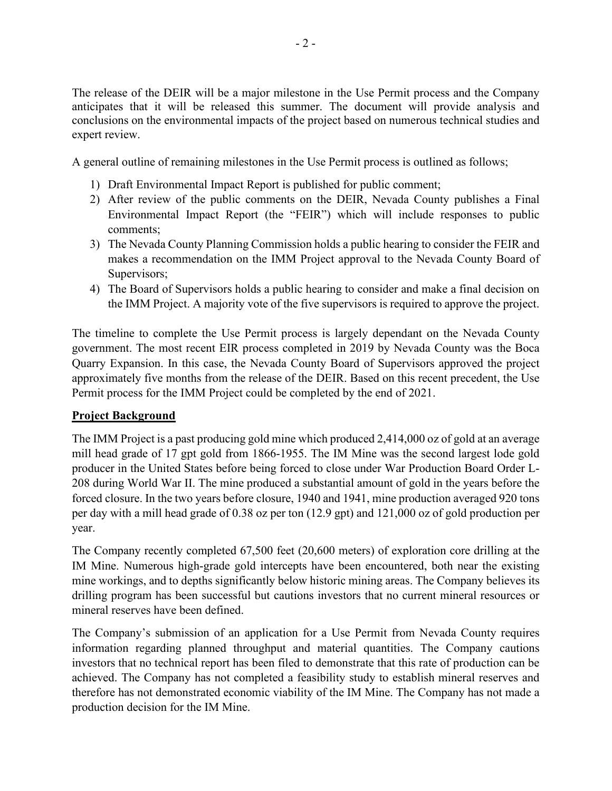The release of the DEIR will be a major milestone in the Use Permit process and the Company anticipates that it will be released this summer. The document will provide analysis and conclusions on the environmental impacts of the project based on numerous technical studies and expert review.

A general outline of remaining milestones in the Use Permit process is outlined as follows;

- 1) Draft Environmental Impact Report is published for public comment;
- 2) After review of the public comments on the DEIR, Nevada County publishes a Final Environmental Impact Report (the "FEIR") which will include responses to public comments;
- 3) The Nevada County Planning Commission holds a public hearing to consider the FEIR and makes a recommendation on the IMM Project approval to the Nevada County Board of Supervisors;
- 4) The Board of Supervisors holds a public hearing to consider and make a final decision on the IMM Project. A majority vote of the five supervisors is required to approve the project.

The timeline to complete the Use Permit process is largely dependant on the Nevada County government. The most recent EIR process completed in 2019 by Nevada County was the Boca Quarry Expansion. In this case, the Nevada County Board of Supervisors approved the project approximately five months from the release of the DEIR. Based on this recent precedent, the Use Permit process for the IMM Project could be completed by the end of 2021.

## **Project Background**

The IMM Project is a past producing gold mine which produced 2,414,000 oz of gold at an average mill head grade of 17 gpt gold from 1866-1955. The IM Mine was the second largest lode gold producer in the United States before being forced to close under War Production Board Order L-208 during World War II. The mine produced a substantial amount of gold in the years before the forced closure. In the two years before closure, 1940 and 1941, mine production averaged 920 tons per day with a mill head grade of 0.38 oz per ton (12.9 gpt) and 121,000 oz of gold production per year.

The Company recently completed 67,500 feet (20,600 meters) of exploration core drilling at the IM Mine. Numerous high-grade gold intercepts have been encountered, both near the existing mine workings, and to depths significantly below historic mining areas. The Company believes its drilling program has been successful but cautions investors that no current mineral resources or mineral reserves have been defined.

The Company's submission of an application for a Use Permit from Nevada County requires information regarding planned throughput and material quantities. The Company cautions investors that no technical report has been filed to demonstrate that this rate of production can be achieved. The Company has not completed a feasibility study to establish mineral reserves and therefore has not demonstrated economic viability of the IM Mine. The Company has not made a production decision for the IM Mine.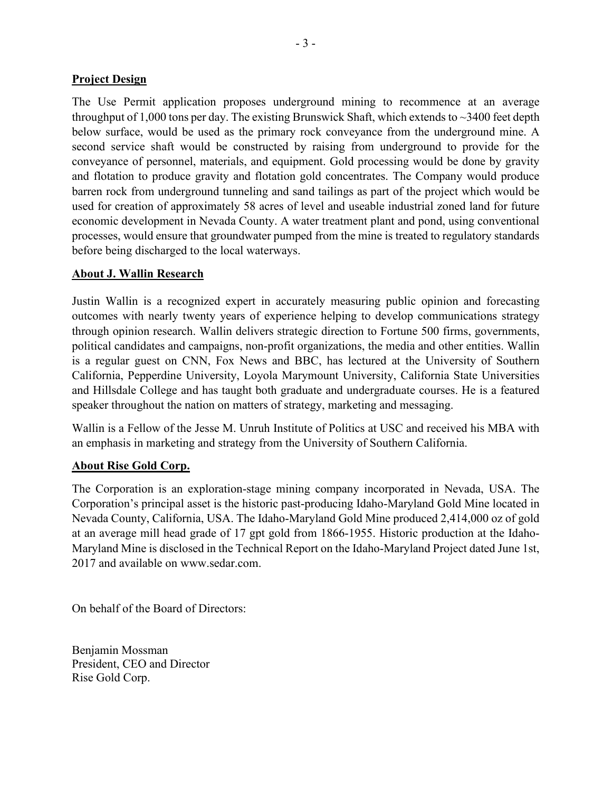#### **Project Design**

The Use Permit application proposes underground mining to recommence at an average throughput of 1,000 tons per day. The existing Brunswick Shaft, which extends to  $\sim$ 3400 feet depth below surface, would be used as the primary rock conveyance from the underground mine. A second service shaft would be constructed by raising from underground to provide for the conveyance of personnel, materials, and equipment. Gold processing would be done by gravity and flotation to produce gravity and flotation gold concentrates. The Company would produce barren rock from underground tunneling and sand tailings as part of the project which would be used for creation of approximately 58 acres of level and useable industrial zoned land for future economic development in Nevada County. A water treatment plant and pond, using conventional processes, would ensure that groundwater pumped from the mine is treated to regulatory standards before being discharged to the local waterways.

#### **About J. Wallin Research**

Justin Wallin is a recognized expert in accurately measuring public opinion and forecasting outcomes with nearly twenty years of experience helping to develop communications strategy through opinion research. Wallin delivers strategic direction to Fortune 500 firms, governments, political candidates and campaigns, non-profit organizations, the media and other entities. Wallin is a regular guest on CNN, Fox News and BBC, has lectured at the University of Southern California, Pepperdine University, Loyola Marymount University, California State Universities and Hillsdale College and has taught both graduate and undergraduate courses. He is a featured speaker throughout the nation on matters of strategy, marketing and messaging.

Wallin is a Fellow of the Jesse M. Unruh Institute of Politics at USC and received his MBA with an emphasis in marketing and strategy from the University of Southern California.

### **About Rise Gold Corp.**

The Corporation is an exploration-stage mining company incorporated in Nevada, USA. The Corporation's principal asset is the historic past-producing Idaho-Maryland Gold Mine located in Nevada County, California, USA. The Idaho-Maryland Gold Mine produced 2,414,000 oz of gold at an average mill head grade of 17 gpt gold from 1866-1955. Historic production at the Idaho-Maryland Mine is disclosed in the Technical Report on the Idaho-Maryland Project dated June 1st, 2017 and available on www.sedar.com.

On behalf of the Board of Directors:

Benjamin Mossman President, CEO and Director Rise Gold Corp.